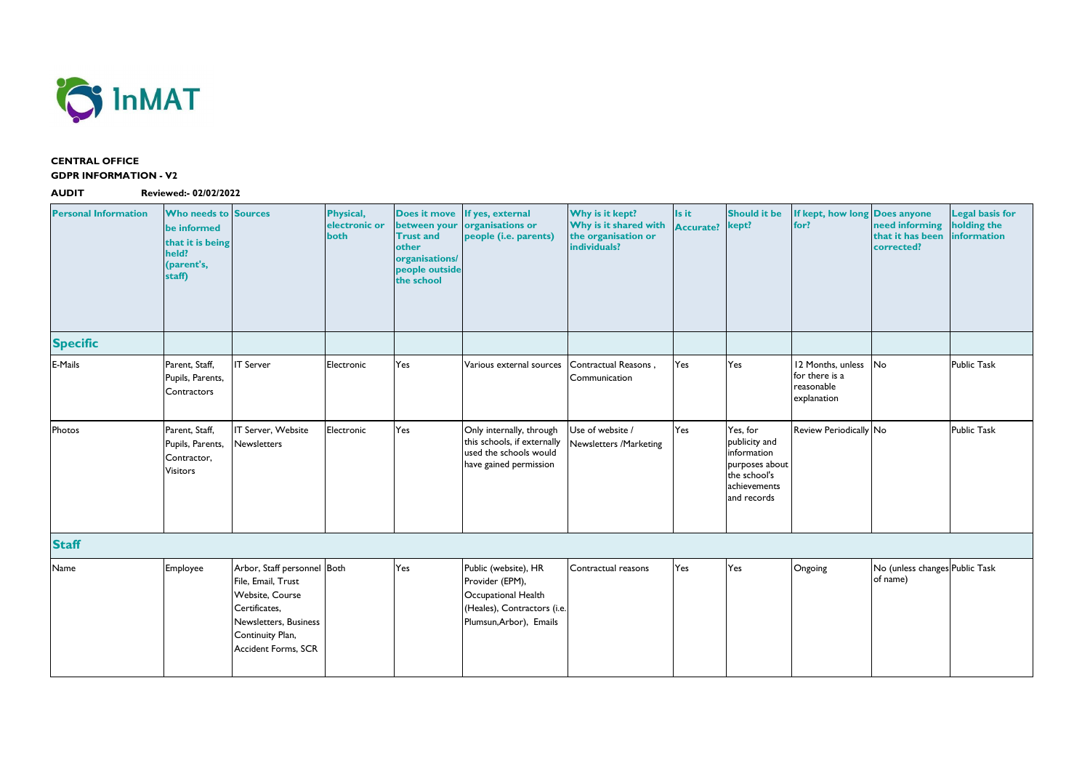

## **CENTRAL OFFICE GDPR INFORMATION - V2**

**AUDIT Reviewed:- 02/02/2022**

| <b>Personal Information</b> | <b>Who needs to Sources</b><br>be informed<br>that it is being<br>held?<br>(parent's,<br>staff) |                                                                                                                                                                         | <b>Physical,</b><br>electronic or<br>both | <b>Does it move</b><br>between your<br><b>Trust and</b><br>other<br>organisations/<br>people outside<br>the school | If yes, external<br>organisations or<br>people (i.e. parents)                                                            | Why is it kept?<br>Why is it shared with<br>the organisation or<br>individuals? | Is it<br><b>Accurate?</b> | <b>Should it be</b><br>kept?                                                                              | If kept, how long Does anyone<br>for?                            | need informing<br>that it has been<br>corrected? |
|-----------------------------|-------------------------------------------------------------------------------------------------|-------------------------------------------------------------------------------------------------------------------------------------------------------------------------|-------------------------------------------|--------------------------------------------------------------------------------------------------------------------|--------------------------------------------------------------------------------------------------------------------------|---------------------------------------------------------------------------------|---------------------------|-----------------------------------------------------------------------------------------------------------|------------------------------------------------------------------|--------------------------------------------------|
| <b>Specific</b>             |                                                                                                 |                                                                                                                                                                         |                                           |                                                                                                                    |                                                                                                                          |                                                                                 |                           |                                                                                                           |                                                                  |                                                  |
| E-Mails                     | Parent, Staff,<br>Pupils, Parents,<br>Contractors                                               | <b>IT Server</b>                                                                                                                                                        | Electronic                                | Yes                                                                                                                | Various external sources                                                                                                 | Contractual Reasons,<br>Communication                                           | Yes                       | Yes                                                                                                       | 12 Months, unless<br>for there is a<br>reasonable<br>explanation | <b>No</b>                                        |
| Photos                      | Parent, Staff,<br>Pupils, Parents,<br>Contractor,<br><b>Visitors</b>                            | IT Server, Website<br><b>Newsletters</b>                                                                                                                                | Electronic                                | Yes                                                                                                                | Only internally, through<br>this schools, if externally<br>used the schools would<br>have gained permission              | Use of website /<br>Newsletters /Marketing                                      | Yes                       | Yes, for<br>publicity and<br>information<br>purposes about<br>the school's<br>achievements<br>and records | Review Periodically No                                           |                                                  |
| <b>Staff</b>                |                                                                                                 |                                                                                                                                                                         |                                           |                                                                                                                    |                                                                                                                          |                                                                                 |                           |                                                                                                           |                                                                  |                                                  |
| Name                        | Employee                                                                                        | Arbor, Staff personnel Both<br>File, Email, Trust<br><b>Website, Course</b><br>Certificates,<br>Newsletters, Business<br>Continuity Plan,<br><b>Accident Forms, SCR</b> |                                           | Yes                                                                                                                | Public (website), HR<br>Provider (EPM),<br>Occupational Health<br>(Heales), Contractors (i.e.<br>Plumsun, Arbor), Emails | Contractual reasons                                                             | Yes                       | Yes                                                                                                       | Ongoing                                                          | No (unless changes<br>of name)                   |

| If kept, how long Does anyone<br>for?                            | need informing<br>that it has been<br>corrected? | <b>Legal basis for</b><br>holding the<br>information |
|------------------------------------------------------------------|--------------------------------------------------|------------------------------------------------------|
|                                                                  |                                                  |                                                      |
| 12 Months, unless<br>for there is a<br>reasonable<br>explanation | No                                               | <b>Public Task</b>                                   |
| Review Periodically No                                           |                                                  | <b>Public Task</b>                                   |
|                                                                  |                                                  |                                                      |
| Ongoing                                                          | No (unless changes Public Task<br>of name)       |                                                      |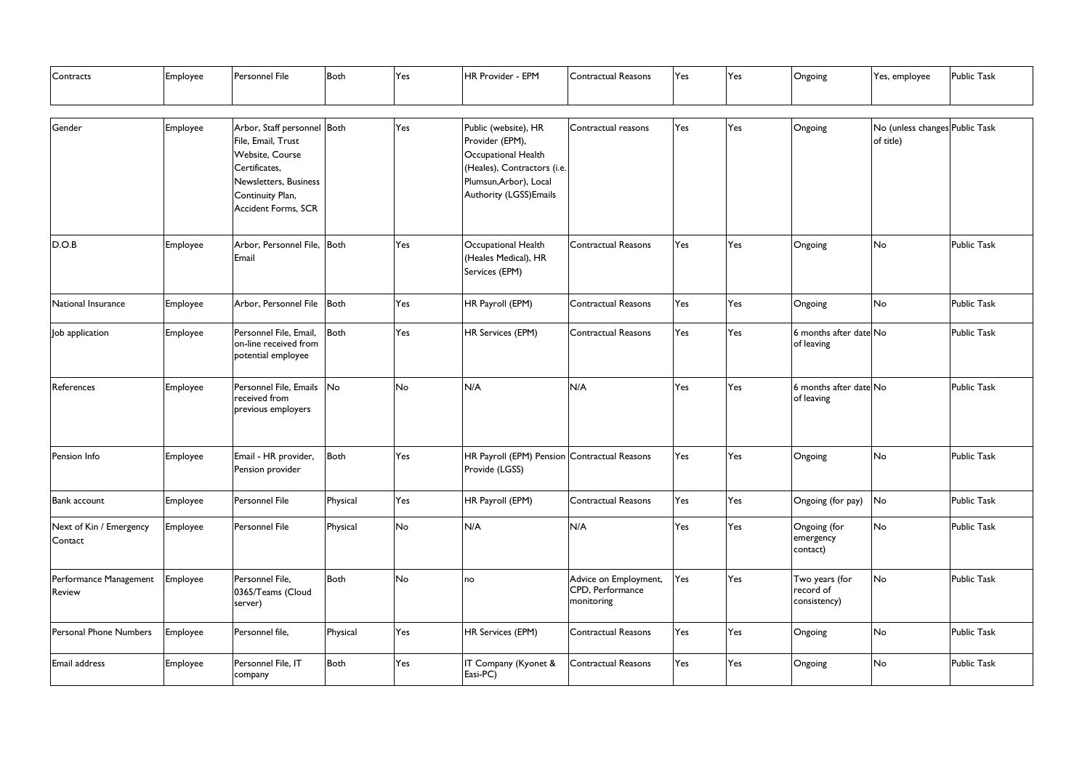| Contracts                          | Employee | Personnel File                                                                                                                                            | <b>Both</b> | Yes | HR Provider - EPM                                                                                                                                  | Contractual Reasons                                     | Yes | Yes | Ongoing                                     | Yes, employee                               | <b>Public Task</b> |
|------------------------------------|----------|-----------------------------------------------------------------------------------------------------------------------------------------------------------|-------------|-----|----------------------------------------------------------------------------------------------------------------------------------------------------|---------------------------------------------------------|-----|-----|---------------------------------------------|---------------------------------------------|--------------------|
| Gender                             | Employee | Arbor, Staff personnel Both<br>File, Email, Trust<br>Website, Course<br>Certificates,<br>Newsletters, Business<br>Continuity Plan,<br>Accident Forms, SCR |             | Yes | Public (website), HR<br>Provider (EPM),<br>Occupational Health<br>(Heales), Contractors (i.e.<br>Plumsun, Arbor), Local<br>Authority (LGSS) Emails | Contractual reasons                                     | Yes | Yes | Ongoing                                     | No (unless changes Public Task<br>of title) |                    |
| D.O.B                              | Employee | Arbor, Personnel File, Both<br>Email                                                                                                                      |             | Yes | Occupational Health<br>(Heales Medical), HR<br>Services (EPM)                                                                                      | Contractual Reasons                                     | Yes | Yes | Ongoing                                     | No                                          | <b>Public Task</b> |
| National Insurance                 | Employee | Arbor, Personnel File                                                                                                                                     | Both        | Yes | HR Payroll (EPM)                                                                                                                                   | <b>Contractual Reasons</b>                              | Yes | Yes | Ongoing                                     | No                                          | <b>Public Task</b> |
| Job application                    | Employee | Personnel File, Email,<br>on-line received from<br>potential employee                                                                                     | Both        | Yes | HR Services (EPM)                                                                                                                                  | <b>Contractual Reasons</b>                              | Yes | Yes | 6 months after date No<br>of leaving        |                                             | <b>Public Task</b> |
| References                         | Employee | Personnel File, Emails<br>received from<br>previous employers                                                                                             | No          | No  | N/A                                                                                                                                                | N/A                                                     | Yes | Yes | 6 months after date No<br>of leaving        |                                             | <b>Public Task</b> |
| Pension Info                       | Employee | Email - HR provider,<br>Pension provider                                                                                                                  | <b>Both</b> | Yes | HR Payroll (EPM) Pension Contractual Reasons<br>Provide (LGSS)                                                                                     |                                                         | Yes | Yes | Ongoing                                     | No                                          | <b>Public Task</b> |
| <b>Bank account</b>                | Employee | Personnel File                                                                                                                                            | Physical    | Yes | HR Payroll (EPM)                                                                                                                                   | Contractual Reasons                                     | Yes | Yes | Ongoing (for pay)                           | No                                          | <b>Public Task</b> |
| Next of Kin / Emergency<br>Contact | Employee | Personnel File                                                                                                                                            | Physical    | No  | N/A                                                                                                                                                | N/A                                                     | Yes | Yes | Ongoing (for<br>emergency<br>contact)       | No                                          | <b>Public Task</b> |
| Performance Management<br>Review   | Employee | Personnel File,<br>0365/Teams (Cloud<br>server)                                                                                                           | <b>Both</b> | No  | no                                                                                                                                                 | Advice on Employment,<br>CPD, Performance<br>monitoring | Yes | Yes | Two years (for<br>record of<br>consistency) | No                                          | <b>Public Task</b> |
| <b>Personal Phone Numbers</b>      | Employee | Personnel file,                                                                                                                                           | Physical    | Yes | HR Services (EPM)                                                                                                                                  | Contractual Reasons                                     | Yes | Yes | Ongoing                                     | No                                          | <b>Public Task</b> |
| Email address                      | Employee | Personnel File, IT<br>company                                                                                                                             | <b>Both</b> | Yes | IT Company (Kyonet &<br>Easi-PC)                                                                                                                   | Contractual Reasons                                     | Yes | Yes | Ongoing                                     | No                                          | <b>Public Task</b> |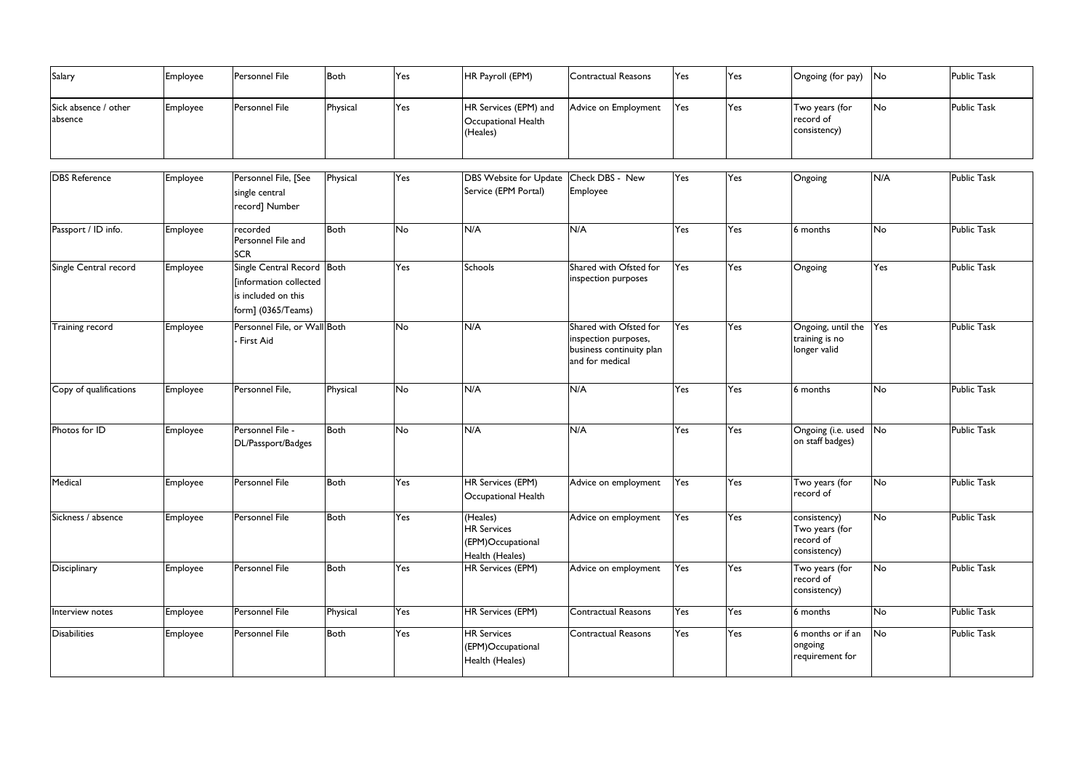| Salary                          | Employee | <b>Personnel File</b> | Both     | Yes | HR Payroll (EPM)                                         | Contractual Reasons  | <b>Yes</b> | Yes | Ongoing (for pay)                           | lNo       | <b>Public Task</b> |
|---------------------------------|----------|-----------------------|----------|-----|----------------------------------------------------------|----------------------|------------|-----|---------------------------------------------|-----------|--------------------|
| Sick absence / other<br>absence | Employee | <b>Personnel File</b> | Physical | Yes | HR Services (EPM) and<br>Occupational Health<br>(Heales) | Advice on Employment | Yes        | Yes | Two years (for<br>record of<br>consistency) | <b>No</b> | <b>Public Task</b> |

| <b>DBS</b> Reference   | Employee | Personnel File, [See<br>single central<br>record] Number                                          | Physical    | Yes | DBS Website for Update<br>Service (EPM Portal)                         | Check DBS - New<br>Employee                                                                   | Yes | Yes | Ongoing                                                     | N/A                      | <b>Public Task</b> |
|------------------------|----------|---------------------------------------------------------------------------------------------------|-------------|-----|------------------------------------------------------------------------|-----------------------------------------------------------------------------------------------|-----|-----|-------------------------------------------------------------|--------------------------|--------------------|
| Passport / ID info.    | Employee | recorded<br>Personnel File and<br><b>SCR</b>                                                      | Both        | No  | N/A                                                                    | N/A                                                                                           | Yes | Yes | 6 months                                                    | No                       | <b>Public Task</b> |
| Single Central record  | Employee | Single Central Record Both<br>[information collected<br>is included on this<br>form] (0365/Teams) |             | Yes | Schools                                                                | Shared with Ofsted for<br>inspection purposes                                                 | Yes | Yes | Ongoing                                                     | Yes                      | <b>Public Task</b> |
| <b>Training record</b> | Employee | Personnel File, or Wall Both<br>- First Aid                                                       |             | No  | N/A                                                                    | Shared with Ofsted for<br>inspection purposes,<br>business continuity plan<br>and for medical | Yes | Yes | Ongoing, until the<br>training is no<br>longer valid        | Yes                      | <b>Public Task</b> |
| Copy of qualifications | Employee | Personnel File,                                                                                   | Physical    | No  | N/A                                                                    | N/A                                                                                           | Yes | Yes | 6 months                                                    | No                       | <b>Public Task</b> |
| Photos for ID          | Employee | Personnel File -<br>DL/Passport/Badges                                                            | Both        | No  | N/A                                                                    | N/A                                                                                           | Yes | Yes | Ongoing (i.e. used<br>on staff badges)                      | No                       | <b>Public Task</b> |
| Medical                | Employee | Personnel File                                                                                    | Both        | Yes | HR Services (EPM)<br>Occupational Health                               | Advice on employment                                                                          | Yes | Yes | Two years (for<br>record of                                 | No                       | <b>Public Task</b> |
| Sickness / absence     | Employee | Personnel File                                                                                    | <b>Both</b> | Yes | (Heales)<br><b>HR Services</b><br>(EPM)Occupational<br>Health (Heales) | Advice on employment                                                                          | Yes | Yes | consistency)<br>Two years (for<br>record of<br>consistency) | No                       | <b>Public Task</b> |
| Disciplinary           | Employee | Personnel File                                                                                    | Both        | Yes | HR Services (EPM)                                                      | Advice on employment                                                                          | Yes | Yes | Two years (for<br>record of<br>consistency)                 | No                       | <b>Public Task</b> |
| Interview notes        | Employee | Personnel File                                                                                    | Physical    | Yes | <b>HR Services (EPM)</b>                                               | Contractual Reasons                                                                           | Yes | Yes | 6 months                                                    | No                       | <b>Public Task</b> |
| <b>Disabilities</b>    | Employee | Personnel File                                                                                    | Both        | Yes | <b>HR Services</b><br>(EPM)Occupational<br>Health (Heales)             | <b>Contractual Reasons</b>                                                                    | Yes | Yes | 6 months or if an<br>ongoing<br>requirement for             | $\overline{\mathsf{No}}$ | <b>Public Task</b> |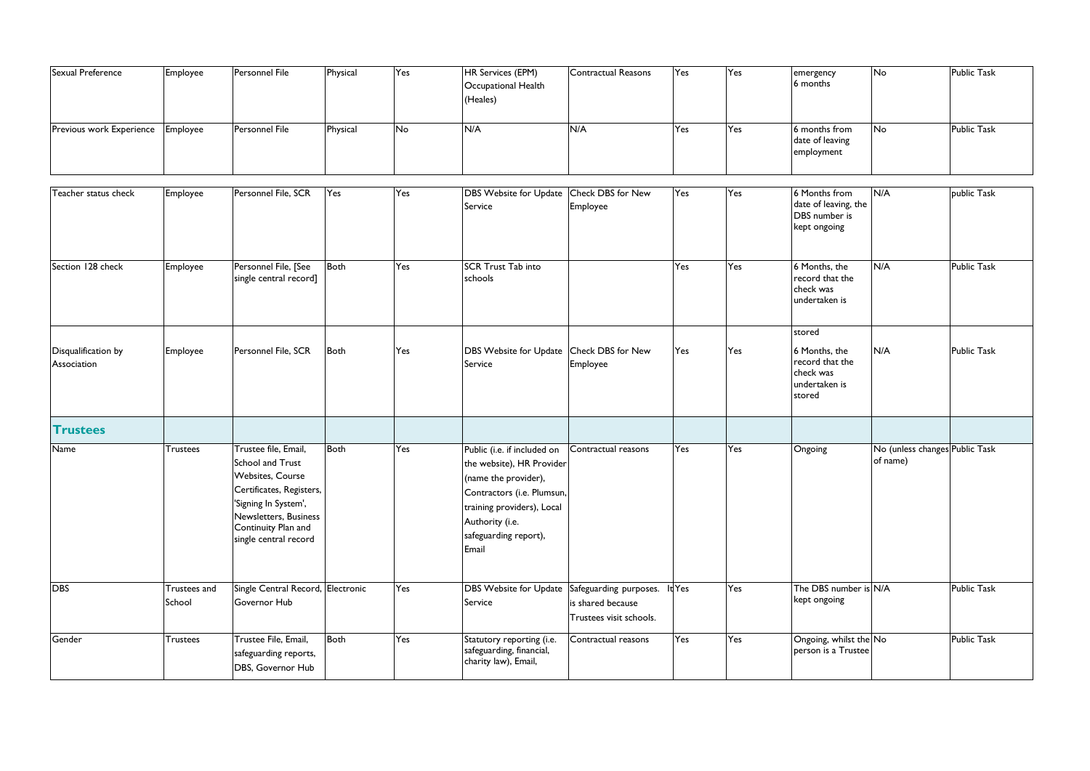| Sexual Preference               | Employee | <b>Personnel File</b> | Physical | Yes | <b>HR Services (EPM)</b><br>Occupational Health<br>(Heales) | Contractual Reasons | <b>T</b> es | Yes | emerge<br>6 mont             |
|---------------------------------|----------|-----------------------|----------|-----|-------------------------------------------------------------|---------------------|-------------|-----|------------------------------|
| <b>Previous work Experience</b> | Employee | Personnel File        | Physical | No  | N/A                                                         | N/A                 | Yes         | Yes | 16 mont<br>date of<br>employ |

| Sexual Preference                  | Employee               | Personnel File                                                                                                                                                                                          | Physical    | Yes | HR Services (EPM)<br>Occupational Health<br>(Heales)                                                                                                                                              | Contractual Reasons                          | Yes | Yes | emergency<br>6 months                                                              | No                                         | <b>Public Task</b> |
|------------------------------------|------------------------|---------------------------------------------------------------------------------------------------------------------------------------------------------------------------------------------------------|-------------|-----|---------------------------------------------------------------------------------------------------------------------------------------------------------------------------------------------------|----------------------------------------------|-----|-----|------------------------------------------------------------------------------------|--------------------------------------------|--------------------|
| Previous work Experience           | Employee               | Personnel File                                                                                                                                                                                          | Physical    | No  | N/A                                                                                                                                                                                               | N/A                                          | Yes | Yes | 6 months from<br>date of leaving<br>employment                                     | No                                         | <b>Public Task</b> |
| Teacher status check               | Employee               | Personnel File, SCR                                                                                                                                                                                     | Yes         | Yes | <b>DBS Website for Update</b><br>Service                                                                                                                                                          | Check DBS for New<br>Employee                | Yes | Yes | 6 Months from<br>date of leaving, the<br><b>DBS</b> number is<br>kept ongoing      | N/A                                        | public Task        |
| Section 128 check                  | Employee               | Personnel File, [See<br>single central record]                                                                                                                                                          | <b>Both</b> | Yes | <b>SCR Trust Tab into</b><br>schools                                                                                                                                                              |                                              | Yes | Yes | 6 Months, the<br>record that the<br>check was<br>undertaken is                     | N/A                                        | <b>Public Task</b> |
| Disqualification by<br>Association | Employee               | Personnel File, SCR                                                                                                                                                                                     | <b>Both</b> | Yes | DBS Website for Update Check DBS for New<br>Service                                                                                                                                               | Employee                                     | Yes | Yes | stored<br>6 Months, the<br>record that the<br>check was<br>undertaken is<br>stored | N/A                                        | <b>Public Task</b> |
| <b>Trustees</b>                    |                        |                                                                                                                                                                                                         |             |     |                                                                                                                                                                                                   |                                              |     |     |                                                                                    |                                            |                    |
| Name                               | <b>Trustees</b>        | Trustee file, Email,<br><b>School and Trust</b><br><b>Websites, Course</b><br>Certificates, Registers,<br>'Signing In System',<br>Newsletters, Business<br>Continuity Plan and<br>single central record | <b>Both</b> | Yes | Public (i.e. if included on<br>the website), HR Provider<br>(name the provider),<br>Contractors (i.e. Plumsun,<br>training providers), Local<br>Authority (i.e.<br>safeguarding report),<br>Email | Contractual reasons                          | Yes | Yes | Ongoing                                                                            | No (unless changes Public Task<br>of name) |                    |
| <b>DBS</b>                         | Trustees and<br>School | Single Central Record, Electronic<br>Governor Hub                                                                                                                                                       |             | Yes | DBS Website for Update Safeguarding purposes. It Yes<br>Service                                                                                                                                   | is shared because<br>Trustees visit schools. |     | Yes | The DBS number is N/A<br>kept ongoing                                              |                                            | <b>Public Task</b> |
| Gender                             | <b>Trustees</b>        | Trustee File, Email,<br>safeguarding reports,<br>DBS, Governor Hub                                                                                                                                      | Both        | Yes | Statutory reporting (i.e.<br>safeguarding, financial,<br>charity law), Email,                                                                                                                     | Contractual reasons                          | Yes | Yes | Ongoing, whilst the No<br>person is a Trustee                                      |                                            | <b>Public Task</b> |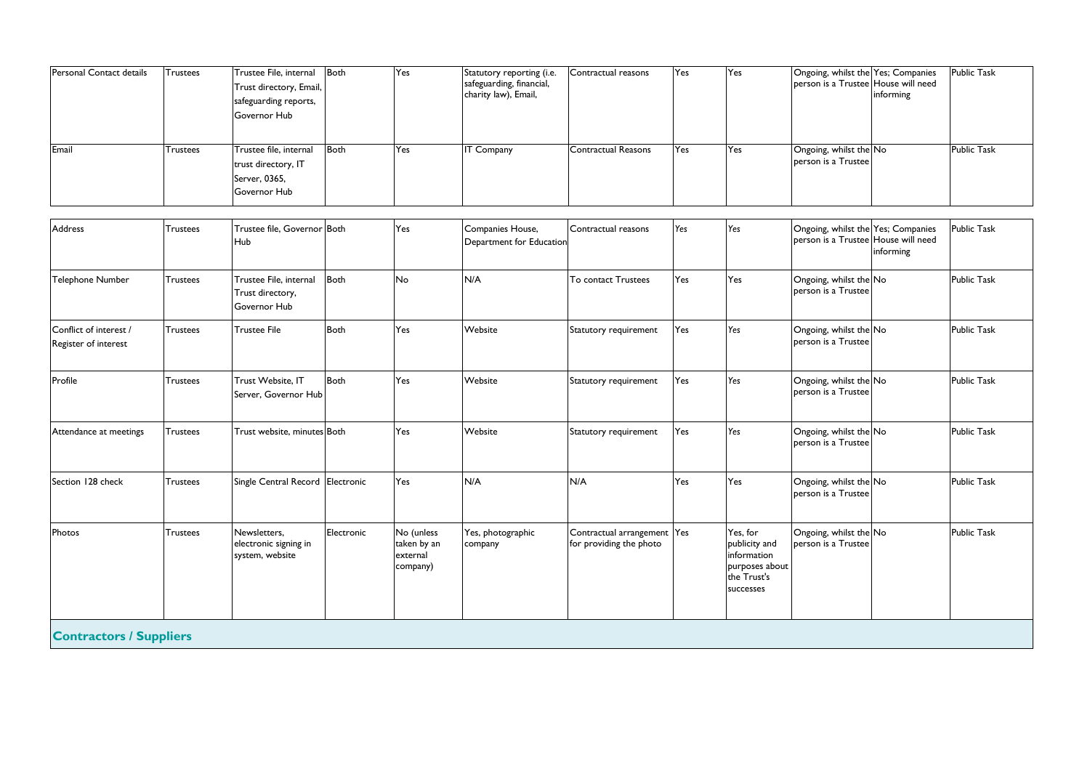| <b>Trustees</b> | Trustee File, internal<br>Trust directory, Email,<br>safeguarding reports,<br>Governor Hub |             |                                                                                                                                                | Statutory reporting (i.e.<br>safeguarding, financial,<br>charity law), Email, | Contractual reasons        |                          |                                                                      |                     | informing      | <b>Public Task</b>                                                                                                                                                                                                                                                                                                                                                        |
|-----------------|--------------------------------------------------------------------------------------------|-------------|------------------------------------------------------------------------------------------------------------------------------------------------|-------------------------------------------------------------------------------|----------------------------|--------------------------|----------------------------------------------------------------------|---------------------|----------------|---------------------------------------------------------------------------------------------------------------------------------------------------------------------------------------------------------------------------------------------------------------------------------------------------------------------------------------------------------------------------|
| <b>Trustees</b> | Trustee file, internal<br>trust directory, IT<br>Server, 0365,<br>Governor Hub             |             | Yes                                                                                                                                            | <b>IT Company</b>                                                             | <b>Contractual Reasons</b> | Yes                      | Yes                                                                  | person is a Trustee |                | <b>Public Task</b>                                                                                                                                                                                                                                                                                                                                                        |
| <b>Trustees</b> | Hub                                                                                        |             | Yes                                                                                                                                            | Companies House,                                                              | Contractual reasons        | Yes                      | Yes                                                                  |                     | informing      | <b>Public Task</b>                                                                                                                                                                                                                                                                                                                                                        |
| Trustees        | Trustee File, internal<br>Trust directory,<br>Governor Hub                                 |             | No                                                                                                                                             | N/A                                                                           | To contact Trustees        | Yes                      | Yes                                                                  | berson is a Trustee |                | <b>Public Task</b>                                                                                                                                                                                                                                                                                                                                                        |
| <b>Trustees</b> | Trustee File                                                                               | <b>Both</b> | Yes                                                                                                                                            | Website                                                                       | Statutory requirement      | Yes                      | Yes                                                                  | person is a Trustee |                | <b>Public Task</b>                                                                                                                                                                                                                                                                                                                                                        |
| <b>Trustees</b> | Trust Website, IT                                                                          |             | Yes                                                                                                                                            | Website                                                                       | Statutory requirement      | Yes                      | Yes                                                                  | person is a Trustee |                | <b>Public Task</b>                                                                                                                                                                                                                                                                                                                                                        |
| <b>Trustees</b> |                                                                                            |             | Yes                                                                                                                                            | Website                                                                       | Statutory requirement      | Yes                      | Yes                                                                  | person is a Trustee |                | <b>Public Task</b>                                                                                                                                                                                                                                                                                                                                                        |
| <b>Trustees</b> |                                                                                            |             | Yes                                                                                                                                            | N/A                                                                           | N/A                        | Yes                      | Yes                                                                  | person is a Trustee |                | <b>Public Task</b>                                                                                                                                                                                                                                                                                                                                                        |
| Trustees        | Newsletters,<br>electronic signing in<br>system, website                                   | Electronic  | No (unless<br>taken by an<br>external<br>company)                                                                                              | Yes, photographic<br>company                                                  | for providing the photo    |                          | Yes, for<br>publicity and<br>information<br>the Trust's<br>successes | person is a Trustee |                | <b>Public Task</b>                                                                                                                                                                                                                                                                                                                                                        |
|                 |                                                                                            |             | Both<br>Trustee file, Governor Both<br>Both<br>Both<br>Server, Governor Hub<br>Trust website, minutes Both<br>Single Central Record Electronic |                                                                               |                            | Department for Education | Contractual arrangement Yes                                          |                     | purposes about | Yes<br>Yes<br>Both<br>Yes<br>Ongoing, whilst the Yes; Companies<br>person is a Trustee House will need<br>Ongoing, whilst the No<br>Ongoing, whilst the Yes; Companies<br>person is a Trustee House will need<br>Ongoing, whilst the No<br>Ongoing, whilst the No<br>Ongoing, whilst the No<br>Ongoing, whilst the No<br>Ongoing, whilst the No<br>Ongoing, whilst the No |